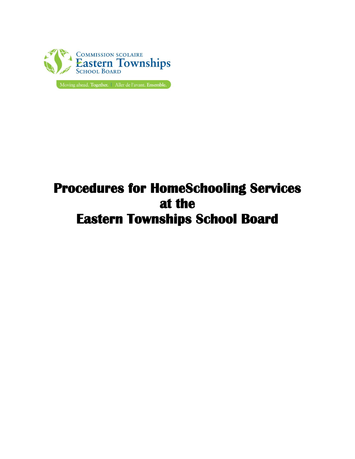

# **Procedures for HomeSchooling Services at the Eastern Townships School Board**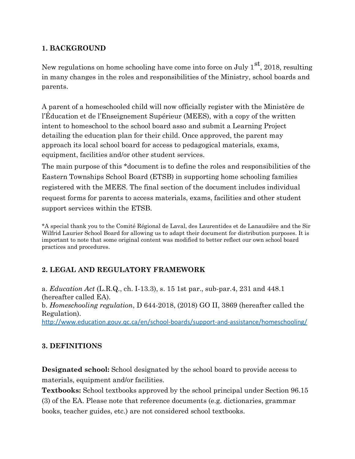#### **1. BACKGROUND**

New regulations on home schooling have come into force on July  $1<sup>st</sup>$ , 2018, resulting in many changes in the roles and responsibilities of the Ministry, school boards and parents.

A parent of a homeschooled child will now officially register with the Ministère de l'Éducation et de l'Enseignement Supérieur (MEES), with a copy of the written intent to homeschool to the school board asso and submit a Learning Project detailing the education plan for their child. Once approved, the parent may approach its local school board for access to pedagogical materials, exams, equipment, facilities and/or other student services.

The main purpose of this \*document is to define the roles and responsibilities of the Eastern Townships School Board (ETSB) in supporting home schooling families registered with the MEES. The final section of the document includes individual request forms for parents to access materials, exams, facilities and other student support services within the ETSB.

\*A special thank you to the Comité Régional de Laval, des Laurentides et de Lanaudière and the Sir Wilfrid Laurier School Board for allowing us to adapt their document for distribution purposes. It is important to note that some original content was modified to better reflect our own school board practices and procedures.

# **2. LEGAL AND REGULATORY FRAMEWORK**

a. *Education Act* (L.R.Q., ch. I-13.3), s. 15 1st par., sub-par.4, 231 and 448.1 (hereafter called EA). b. *Homeschooling regulation*, D 644-2018, (2018) GO II, 3869 (hereafter called the Regulation). <http://www.education.gouv.qc.ca/en/school-boards/support-and-assistance/homeschooling/>

#### **3. DEFINITIONS**

**Designated school:** School designated by the school board to provide access to materials, equipment and/or facilities.

**Textbooks:** School textbooks approved by the school principal under Section 96.15 (3) of the EA. Please note that reference documents (e.g. dictionaries, grammar books, teacher guides, etc.) are not considered school textbooks.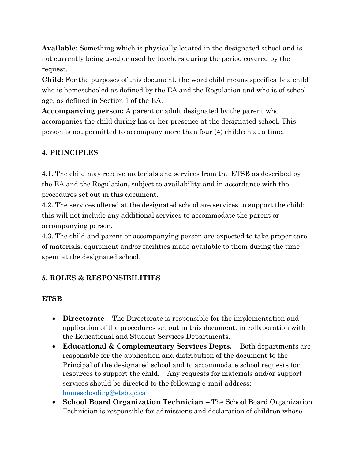**Available:** Something which is physically located in the designated school and is not currently being used or used by teachers during the period covered by the request.

**Child:** For the purposes of this document, the word child means specifically a child who is homeschooled as defined by the EA and the Regulation and who is of school age, as defined in Section 1 of the EA.

**Accompanying person:** A parent or adult designated by the parent who accompanies the child during his or her presence at the designated school. This person is not permitted to accompany more than four (4) children at a time.

#### **4. PRINCIPLES**

4.1. The child may receive materials and services from the ETSB as described by the EA and the Regulation, subject to availability and in accordance with the procedures set out in this document.

4.2. The services offered at the designated school are services to support the child; this will not include any additional services to accommodate the parent or accompanying person.

4.3. The child and parent or accompanying person are expected to take proper care of materials, equipment and/or facilities made available to them during the time spent at the designated school.

#### **5. ROLES & RESPONSIBILITIES**

#### **ETSB**

- **Directorate** The Directorate is responsible for the implementation and application of the procedures set out in this document, in collaboration with the Educational and Student Services Departments.
- **Educational & Complementary Services Depts.** Both departments are responsible for the application and distribution of the document to the Principal of the designated school and to accommodate school requests for resources to support the child. Any requests for materials and/or support services should be directed to the following e-mail address: [homeschooling@etsb.qc.ca](mailto:homeschooling@etsb.qc.ca)
- **School Board Organization Technician** The School Board Organization Technician is responsible for admissions and declaration of children whose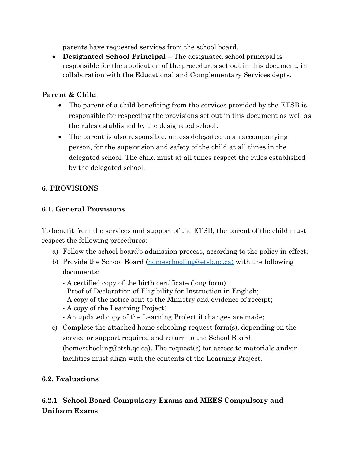parents have requested services from the school board.

• **Designated School Principal** – The designated school principal is responsible for the application of the procedures set out in this document, in collaboration with the Educational and Complementary Services depts.

# **Parent & Child**

- The parent of a child benefiting from the services provided by the ETSB is responsible for respecting the provisions set out in this document as well as the rules established by the designated school.
- The parent is also responsible, unless delegated to an accompanying person, for the supervision and safety of the child at all times in the delegated school. The child must at all times respect the rules established by the delegated school.

# **6. PROVISIONS**

# **6.1. General Provisions**

To benefit from the services and support of the ETSB, the parent of the child must respect the following procedures:

- a) Follow the school board's admission process, according to the policy in effect;
- b) Provide the School Board [\(homeschooling@etsb.qc.ca\)](mailto:homeschooling@etsb.qc.ca)) with the following documents:
	- A certified copy of the birth certificate (long form)
	- Proof of Declaration of Eligibility for Instruction in English;
	- A copy of the notice sent to the Ministry and evidence of receipt;
	- A copy of the Learning Project;
	- An updated copy of the Learning Project if changes are made;
- c) Complete the attached home schooling request form(s), depending on the service or support required and return to the School Board (homeschooling@etsb.qc.ca). The request(s) for access to materials and/or facilities must align with the contents of the Learning Project.

# **6.2. Evaluations**

# **6.2.1 School Board Compulsory Exams and MEES Compulsory and Uniform Exams**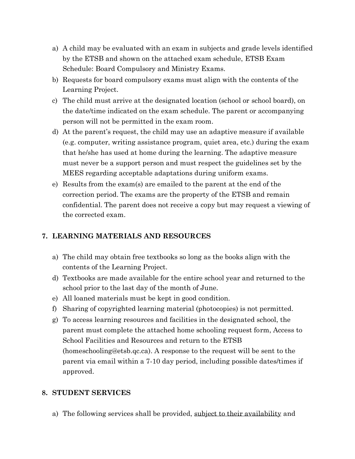- a) A child may be evaluated with an exam in subjects and grade levels identified by the ETSB and shown on the attached exam schedule, ETSB Exam Schedule: Board Compulsory and Ministry Exams.
- b) Requests for board compulsory exams must align with the contents of the Learning Project.
- c) The child must arrive at the designated location (school or school board), on the date/time indicated on the exam schedule. The parent or accompanying person will not be permitted in the exam room.
- d) At the parent's request, the child may use an adaptive measure if available (e.g. computer, writing assistance program, quiet area, etc.) during the exam that he/she has used at home during the learning. The adaptive measure must never be a support person and must respect the guidelines set by the MEES regarding acceptable adaptations during uniform exams.
- e) Results from the exam(s) are emailed to the parent at the end of the correction period. The exams are the property of the ETSB and remain confidential. The parent does not receive a copy but may request a viewing of the corrected exam.

#### **7. LEARNING MATERIALS AND RESOURCES**

- a) The child may obtain free textbooks so long as the books align with the contents of the Learning Project.
- d) Textbooks are made available for the entire school year and returned to the school prior to the last day of the month of June.
- e) All loaned materials must be kept in good condition.
- f) Sharing of copyrighted learning material (photocopies) is not permitted.
- g) To access learning resources and facilities in the designated school, the parent must complete the attached home schooling request form, Access to School Facilities and Resources and return to the ETSB (homeschooling@etsb.qc.ca). A response to the request will be sent to the parent via email within a 7-10 day period, including possible dates/times if approved.

#### **8. STUDENT SERVICES**

a) The following services shall be provided, subject to their availability and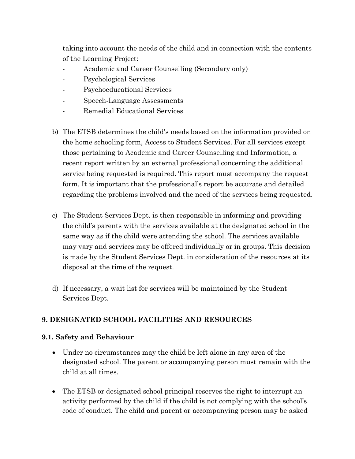taking into account the needs of the child and in connection with the contents of the Learning Project:

- Academic and Career Counselling (Secondary only)
- Psychological Services
- Psychoeducational Services
- Speech-Language Assessments
- Remedial Educational Services
- b) The ETSB determines the child's needs based on the information provided on the home schooling form, Access to Student Services. For all services except those pertaining to Academic and Career Counselling and Information, a recent report written by an external professional concerning the additional service being requested is required. This report must accompany the request form. It is important that the professional's report be accurate and detailed regarding the problems involved and the need of the services being requested.
- c) The Student Services Dept. is then responsible in informing and providing the child's parents with the services available at the designated school in the same way as if the child were attending the school. The services available may vary and services may be offered individually or in groups. This decision is made by the Student Services Dept. in consideration of the resources at its disposal at the time of the request.
- d) If necessary, a wait list for services will be maintained by the Student Services Dept.

# **9. DESIGNATED SCHOOL FACILITIES AND RESOURCES**

#### **9.1. Safety and Behaviour**

- Under no circumstances may the child be left alone in any area of the designated school. The parent or accompanying person must remain with the child at all times.
- The ETSB or designated school principal reserves the right to interrupt an activity performed by the child if the child is not complying with the school's code of conduct. The child and parent or accompanying person may be asked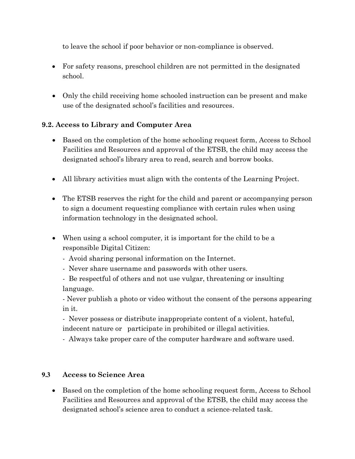to leave the school if poor behavior or non-compliance is observed.

- For safety reasons, preschool children are not permitted in the designated school.
- Only the child receiving home schooled instruction can be present and make use of the designated school's facilities and resources.

# **9.2. Access to Library and Computer Area**

- Based on the completion of the home schooling request form, Access to School Facilities and Resources and approval of the ETSB, the child may access the designated school's library area to read, search and borrow books.
- All library activities must align with the contents of the Learning Project.
- The ETSB reserves the right for the child and parent or accompanying person to sign a document requesting compliance with certain rules when using information technology in the designated school.
- When using a school computer, it is important for the child to be a responsible Digital Citizen:
	- Avoid sharing personal information on the Internet.
	- Never share username and passwords with other users.
	- Be respectful of others and not use vulgar, threatening or insulting language.

- Never publish a photo or video without the consent of the persons appearing in it.

- Never possess or distribute inappropriate content of a violent, hateful, indecent nature or participate in prohibited or illegal activities.

- Always take proper care of the computer hardware and software used.

# **9.3 Access to Science Area**

• Based on the completion of the home schooling request form, Access to School Facilities and Resources and approval of the ETSB, the child may access the designated school's science area to conduct a science-related task.